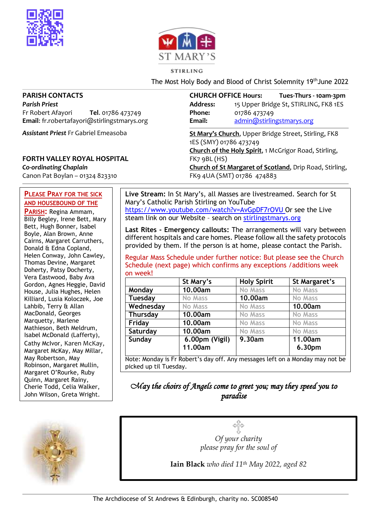



STIRLING

The Most Holy Body and Blood of Christ Solemnity 19th June 2022

**Email:** [admin@stirlingstmarys.org](mailto:admin@stirlingstmarys.org)

**CHURCH OFFICE Hours: Tues-Thurs - 10am-3pm Address:** 15 Upper Bridge St, STIRLING, FK8 1ES

**St Mary's Church**, Upper Bridge Street, Stirling, FK8

**Church of the Holy Spirit**, 1 McGrigor Road, Stirling,

**Church of St Margaret of Scotland**, Drip Road, Stirling,

#### **PARISH CONTACTS**

*Parish Priest* Fr Robert Afayori **Tel**. 01786 473749 **Email**: fr.robertafayori@stirlingstmarys.org

*Assistant Priest* Fr Gabriel Emeasoba

#### **FORTH VALLEY ROYAL HOSPITAL**

*Co-ordinating Chaplain* Canon Pat Boylan – 01324 823310

#### **PLEASE PRAY FOR THE SICK AND HOUSEBOUND OF THE**

**PARISH:** Regina Ammam, Billy Begley, Irene Bett, Mary Bett, Hugh Bonner, Isabel Boyle, Alan Brown, Anne Cairns, Margaret Carruthers, Donald & Edna Copland, Helen Conway, John Cawley, Thomas Devine, Margaret Doherty, Patsy Docherty, Vera Eastwood, Baby Ava Gordon, Agnes Heggie, David House, Julia Hughes, Helen Killiard, Lusia Koloczek, Joe Lahbib, Terry & Allan MacDonald, Georges Marquetty, Marlene Mathieson, Beth Meldrum, Isabel McDonald (Lafferty), Cathy McIvor, Karen McKay, Margaret McKay, May Millar, May Robertson, May Robinson, Margaret Mullin, Margaret O'Rourke, Ruby Quinn, Margaret Rainy, Cherie Todd, Celia Walker, John Wilson, Greta Wright.

FK9 4UA (SMT) 01786 474883 **Live Stream:** In St Mary's, all Masses are livestreamed. Search for St Mary's Catholic Parish Stirling on YouTube <https://www.youtube.com/watch?v=AvGpDF7rOVU> Or see the Live

**Phone:** 01786 473749

1ES (SMY) 01786 473749

steam link on our Website – search on stirlingstmarys.org

FK7 9BL (HS)

**Last Rites - Emergency callouts:** The arrangements will vary between different hospitals and care homes. Please follow all the safety protocols provided by them. If the person is at home, please contact the Parish.

Regular Mass Schedule under further notice: But please see the Church Schedule (next page) which confirms any exceptions /additions week on week!

|                | St Mary's      | <b>Holy Spirit</b> | St Margaret's  |
|----------------|----------------|--------------------|----------------|
| Monday         | 10.00am        | <b>No Mass</b>     | <b>No Mass</b> |
| <b>Tuesday</b> | <b>No Mass</b> | 10.00am            | <b>No Mass</b> |
| Wednesday      | <b>No Mass</b> | <b>No Mass</b>     | 10.00am        |
| Thursday       | 10.00am        | <b>No Mass</b>     | <b>No Mass</b> |
| Friday         | 10.00am        | <b>No Mass</b>     | <b>No Mass</b> |
| Saturday       | 10.00am        | <b>No Mass</b>     | <b>No Mass</b> |
| Sunday         | 6.00pm (Vigil) | 9.30am             | 11.00am        |
|                | 11.00am        |                    | 6.30pm         |

*May the choirs of Angels come to greet you; may they speed you to paradise* 



*Of your charity please pray for the soul of*

**Iain Black** *who died 11th May 2022, aged 82*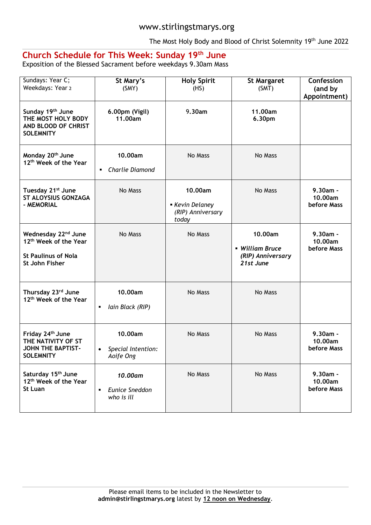The Most Holy Body and Blood of Christ Solemnity 19<sup>th</sup> June 2022

# **Church Schedule for This Week: Sunday 19th June**

Exposition of the Blessed Sacrament before weekdays 9.30am Mass

| Sundays: Year C;<br>Weekdays: Year 2                                                                                 | St Mary's<br>(SMY)                                      | <b>Holy Spirit</b><br>(HS)                             | <b>St Margaret</b><br>(SMT)                                  | Confession<br>(and by<br>Appointment) |
|----------------------------------------------------------------------------------------------------------------------|---------------------------------------------------------|--------------------------------------------------------|--------------------------------------------------------------|---------------------------------------|
| Sunday 19th June<br>THE MOST HOLY BODY<br>AND BLOOD OF CHRIST<br><b>SOLEMNITY</b>                                    | 6.00pm (Vigil)<br>11.00am                               | 9.30am                                                 | 11.00am<br>6.30pm                                            |                                       |
| Monday 20 <sup>th</sup> June<br>12 <sup>th</sup> Week of the Year                                                    | 10.00am<br>Charlie Diamond<br>٠                         | No Mass                                                | No Mass                                                      |                                       |
| Tuesday 21 <sup>st</sup> June<br><b>ST ALOYSIUS GONZAGA</b><br>- MEMORIAL                                            | No Mass                                                 | 10.00am<br>Kevin Delaney<br>(RIP) Anniversary<br>today | No Mass                                                      | $9.30am -$<br>10.00am<br>before Mass  |
| Wednesday 22 <sup>nd</sup> June<br>12 <sup>th</sup> Week of the Year<br><b>St Paulinus of Nola</b><br>St John Fisher | No Mass                                                 | No Mass                                                | 10.00am<br>• William Bruce<br>(RIP) Anniversary<br>21st June | $9.30am -$<br>10.00am<br>before Mass  |
| Thursday 23rd June<br>12 <sup>th</sup> Week of the Year                                                              | 10.00am<br>Iain Black (RIP)<br>٠                        | No Mass                                                | No Mass                                                      |                                       |
| Friday 24 <sup>th</sup> June<br>THE NATIVITY OF ST<br><b>JOHN THE BAPTIST-</b><br><b>SOLEMNITY</b>                   | 10.00am<br>Special Intention:<br>$\bullet$<br>Aoife Ong | No Mass                                                | No Mass                                                      | $9.30am -$<br>10.00am<br>before Mass  |
| Saturday 15 <sup>th</sup> June<br>12 <sup>th</sup> Week of the Year<br>St Luan                                       | 10.00am<br><b>Eunice Sneddon</b><br>٠<br>who is ill     | No Mass                                                | No Mass                                                      | 9.30am -<br>10.00am<br>before Mass    |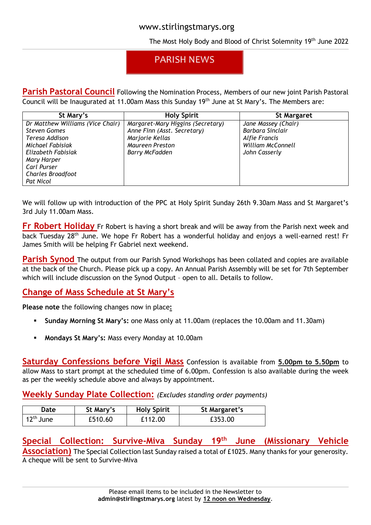The Most Holy Body and Blood of Christ Solemnity 19<sup>th</sup> June 2022

# **PARISH NEWS**

**Parish Pastoral Council** Following the Nomination Process, Members of our new joint Parish Pastoral Council will be Inaugurated at 11.00am Mass this Sunday 19th June at St Mary's. The Members are:

| St Mary's                        | <b>Holy Spirit</b>                | <b>St Margaret</b>       |
|----------------------------------|-----------------------------------|--------------------------|
| Dr Matthew Williams (Vice Chair) | Margaret-Mary Higgins (Secretary) | Jane Massey (Chair)      |
| <b>Steven Gomes</b>              | Anne Finn (Asst. Secretary)       | Barbara Sinclair         |
| Teresa Addison                   | Marjorie Kellas                   | <b>Alfie Francis</b>     |
| Michael Fabisiak                 | <b>Maureen Preston</b>            | <b>William McConnell</b> |
| Elizabeth Fabisiak               | <b>Barry McFadden</b>             | John Casserly            |
| <b>Mary Harper</b>               |                                   |                          |
| Carl Purser                      |                                   |                          |
| Charles Broadfoot                |                                   |                          |
| Pat Nicol                        |                                   |                          |

We will follow up with introduction of the PPC at Holy Spirit Sunday 26th 9.30am Mass and St Margaret's 3rd July 11.00am Mass.

**Fr Robert Holiday** Fr Robert is having a short break and will be away from the Parish next week and back Tuesday 28<sup>th</sup> June. We hope Fr Robert has a wonderful holiday and enjoys a well-earned rest! Fr James Smith will be helping Fr Gabriel next weekend.

**Parish Synod** The output from our Parish Synod Workshops has been collated and copies are available at the back of the Church. Please pick up a copy. An Annual Parish Assembly will be set for 7th September which will include discussion on the Synod Output – open to all. Details to follow.

# **Change of Mass Schedule at St Mary's**

**Please note** the following changes now in place**:**

- **Sunday Morning St Mary's:** one Mass only at 11.00am (replaces the 10.00am and 11.30am)
- **Mondays St Mary's:** Mass every Monday at 10.00am

**Saturday Confessions before Vigil Mass** Confession is available from **5.00pm to 5.50pm** to allow Mass to start prompt at the scheduled time of 6.00pm. Confession is also available during the week as per the weekly schedule above and always by appointment.

**Weekly Sunday Plate Collection:** *(Excludes standing order payments)*

| Date                  | St Mary's | <b>Holy Spirit</b> | St Margaret's |
|-----------------------|-----------|--------------------|---------------|
| 12 <sup>th</sup> June | £510.60   | £112.00            | £353.00       |

# **Special Collection: Survive-Miva Sunday 19th June (Missionary Vehicle**

**Association)** The Special Collection last Sunday raised a total of £1025. Many thanks for your generosity. A cheque will be sent to Survive-Miva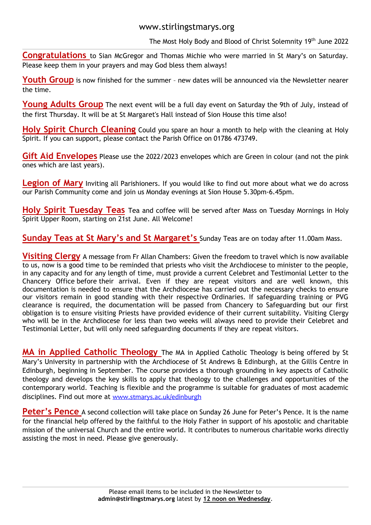The Most Holy Body and Blood of Christ Solemnity 19<sup>th</sup> June 2022

**Congratulations** to Sian McGregor and Thomas Michie who were married in St Mary's on Saturday. Please keep them in your prayers and may God bless them always!

**Youth Group** is now finished for the summer – new dates will be announced via the Newsletter nearer the time.

Young Adults Group The next event will be a full day event on Saturday the 9th of July, instead of the first Thursday. It will be at St Margaret's Hall instead of Sion House this time also!

**Holy Spirit Church Cleaning** Could you spare an hour a month to help with the cleaning at Holy Spirit. If you can support, please contact the Parish Office on 01786 473749.

**Gift Aid Envelopes** Please use the 2022/2023 envelopes which are Green in colour (and not the pink ones which are last years).

Legion of Mary Inviting all Parishioners. If you would like to find out more about what we do across our Parish Community come and join us Monday evenings at Sion House 5.30pm-6.45pm.

**Holy Spirit Tuesday Teas** Tea and coffee will be served after Mass on Tuesday Mornings in Holy Spirit Upper Room, starting on 21st June. All Welcome!

**Sunday Teas at St Mary's and St Margaret's** Sunday Teas are on today after 11.00am Mass.

**Visiting Clergy** A message from Fr Allan Chambers: Given the freedom to travel which is now available to us, now is a good time to be reminded that priests who visit the Archdiocese to minister to the people, in any capacity and for any length of time, must provide a current Celebret and Testimonial Letter to the Chancery Office before their arrival. Even if they are repeat visitors and are well known, this documentation is needed to ensure that the Archdiocese has carried out the necessary checks to ensure our visitors remain in good standing with their respective Ordinaries. If safeguarding training or PVG clearance is required, the documentation will be passed from Chancery to Safeguarding but our first obligation is to ensure visiting Priests have provided evidence of their current suitability. Visiting Clergy who will be in the Archdiocese for less than two weeks will always need to provide their Celebret and Testimonial Letter, but will only need safeguarding documents if they are repeat visitors.

**MA in Applied Catholic Theology** The MA in Applied Catholic Theology is being offered by St Mary's University in partnership with the Archdiocese of St Andrews & Edinburgh, at the Gillis Centre in Edinburgh, beginning in September. The course provides a thorough grounding in key aspects of Catholic theology and develops the key skills to apply that theology to the challenges and opportunities of the contemporary world. Teaching is flexible and the programme is suitable for graduates of most academic disciplines. Find out more at [www.stmarys.ac.uk/edinburgh](http://www.stmarys.ac.uk/edinburgh)

**Peter's Pence** A second collection will take place on Sunday 26 June for Peter's Pence. It is the name for the financial help offered by the faithful to the Holy Father in support of his apostolic and charitable mission of the universal Church and the entire world. It contributes to numerous charitable works directly assisting the most in need. Please give generously.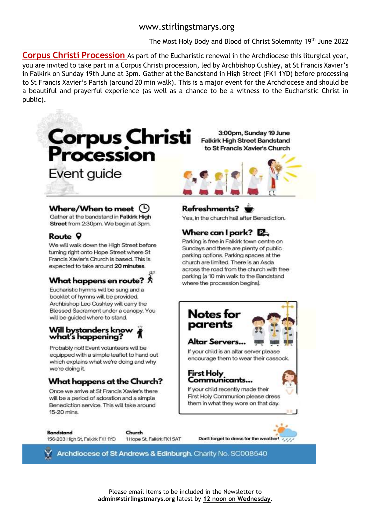The Most Holy Body and Blood of Christ Solemnity 19th June 2022

Corpus Christi Procession As part of the Eucharistic renewal in the Archdiocese this liturgical year, you are invited to take part in a Corpus Christi procession, led by Archbishop Cushley, at St Francis Xavier's in Falkirk on Sunday 19th June at 3pm. Gather at the Bandstand in High Street (FK1 1YD) before processing to St Francis Xavier's Parish (around 20 min walk). This is a major event for the Archdiocese and should be a beautiful and prayerful experience (as well as a chance to be a witness to the Eucharistic Christ in public).



3:00pm, Sunday 19 June **Falkirk High Street Bandstand** to St Francis Xavier's Church

#### Where/When to meet  $($

Gather at the bandstand in Falkirk High Street from 2:30pm. We begin at 3pm.

#### Route 9

We will walk down the High Street before turning right onto Hope Street where St Francis Xavier's Church is based. This is expected to take around 20 minutes.

# What happens en route?  $\hat{\pi}$

Eucharistic hymns will be sung and a booklet of hymns will be provided. Archbishop Leo Cushley will carry the Blessed Sacrament under a canopy. You will be guided where to stand.

#### Will bystanders know what's happening?

Probably not! Event volunteers will be equipped with a simple leaflet to hand out which explains what we're doing and why we're doing it.

### What happens at the Church?

Once we arrive at St Francis Xavier's there will be a period of adoration and a simple Benediction service. This will take around 15-20 mins.

**Bandstand** 156-203 High St, Falkirk FK1 1YD Church

1 Hope St, Falkirk FK15AT

### Refreshments?

Yes, in the church hall after Benediction.

# Where can I park?  $\mathbb{R}$

Parking is free in Falkirk town centre on Sundays and there are plenty of public parking options. Parking spaces at the church are limited. There is an Asda across the road from the church with free parking (a 10 min walk to the Bandstand where the procession begins).



First Holy Communion please dress them in what they wore on that day.

Don't forget to dress for the weather!

Archdiocese of St Andrews & Edinburgh. Charity No. SC008540